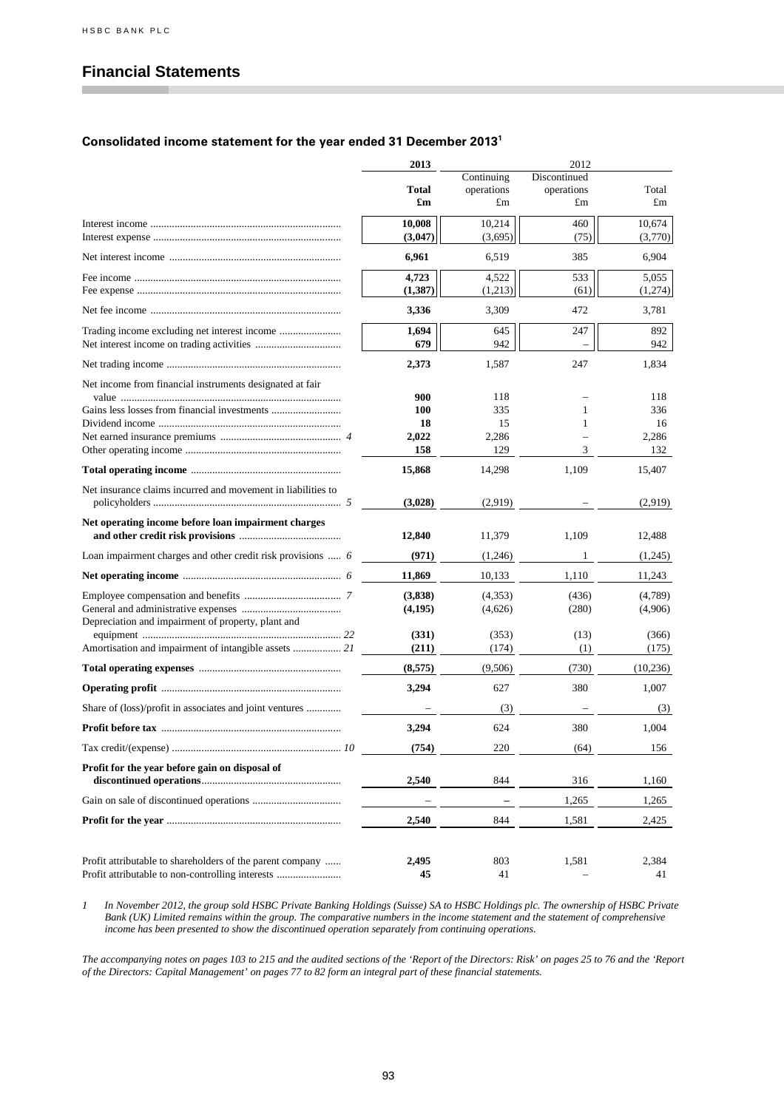# **Financial Statements**

#### **Consolidated income statement for the year ended 31 December 2013<sup>1</sup>**

|                                                                                                               | 2013           | 2012             |                  |                      |  |  |
|---------------------------------------------------------------------------------------------------------------|----------------|------------------|------------------|----------------------|--|--|
|                                                                                                               |                | Continuing       | Discontinued     |                      |  |  |
|                                                                                                               | Total<br>£m    | operations<br>£m | operations<br>£m | Total<br>$\pounds$ m |  |  |
|                                                                                                               | 10,008         | 10,214           | 460              | 10,674               |  |  |
|                                                                                                               | (3,047)        | (3,695)          | (75)             | (3,770)              |  |  |
|                                                                                                               | 6,961          | 6,519            | 385              | 6,904                |  |  |
|                                                                                                               | 4,723          | 4,522            | 533              | 5,055                |  |  |
|                                                                                                               | (1, 387)       | (1,213)          | (61)             | (1,274)              |  |  |
|                                                                                                               | 3,336          | 3,309            | 472              | 3,781                |  |  |
|                                                                                                               | 1,694          | 645              | 247              | 892                  |  |  |
|                                                                                                               | 679            | 942              |                  | 942                  |  |  |
|                                                                                                               | 2,373          | 1,587            | 247              | 1,834                |  |  |
| Net income from financial instruments designated at fair                                                      | 900            | 118              |                  | 118                  |  |  |
|                                                                                                               | <b>100</b>     | 335              | 1                | 336                  |  |  |
|                                                                                                               | 18             | 15               | 1                | 16                   |  |  |
|                                                                                                               | 2,022          | 2,286            |                  | 2,286                |  |  |
|                                                                                                               | 158            | 129              | 3                | 132                  |  |  |
|                                                                                                               | 15,868         | 14,298           | 1,109            | 15,407               |  |  |
| Net insurance claims incurred and movement in liabilities to                                                  | (3,028)        | (2,919)          |                  | (2,919)              |  |  |
| Net operating income before loan impairment charges                                                           | 12,840         | 11,379           | 1,109            | 12,488               |  |  |
| Loan impairment charges and other credit risk provisions  6                                                   | (971)          | (1,246)          | 1                | (1,245)              |  |  |
|                                                                                                               | 11,869         | 10,133           | 1,110            | 11,243               |  |  |
|                                                                                                               | (3,838)        | (4,353)          | (436)            | (4,789)              |  |  |
|                                                                                                               | (4,195)        | (4,626)          | (280)            | (4,906)              |  |  |
| Depreciation and impairment of property, plant and                                                            |                |                  |                  |                      |  |  |
|                                                                                                               | (331)<br>(211) | (353)<br>(174)   | (13)<br>(1)      | (366)<br>(175)       |  |  |
|                                                                                                               | (8,575)        | (9,506)          | (730)            | (10,236)             |  |  |
|                                                                                                               | 3,294          | 627              | 380              | 1,007                |  |  |
| Share of (loss)/profit in associates and joint ventures                                                       |                | (3)              |                  | (3)                  |  |  |
|                                                                                                               | 3,294          | 624              | 380              | 1,004                |  |  |
|                                                                                                               | (754)          | 220              | (64)             | 156                  |  |  |
| Profit for the year before gain on disposal of                                                                |                |                  |                  |                      |  |  |
|                                                                                                               | 2,540          | 844              | 316              | 1,160                |  |  |
|                                                                                                               |                |                  | 1,265            | 1,265                |  |  |
|                                                                                                               | 2,540          | 844              | 1,581            | 2,425                |  |  |
| Profit attributable to shareholders of the parent company<br>Profit attributable to non-controlling interests | 2,495<br>45    | 803<br>41        | 1,581            | 2,384<br>41          |  |  |

*1 In November 2012, the group sold HSBC Private Banking Holdings (Suisse) SA to HSBC Holdings plc. The ownership of HSBC Private Bank (UK) Limited remains within the group. The comparative numbers in the income statement and the statement of comprehensive income has been presented to show the discontinued operation separately from continuing operations.*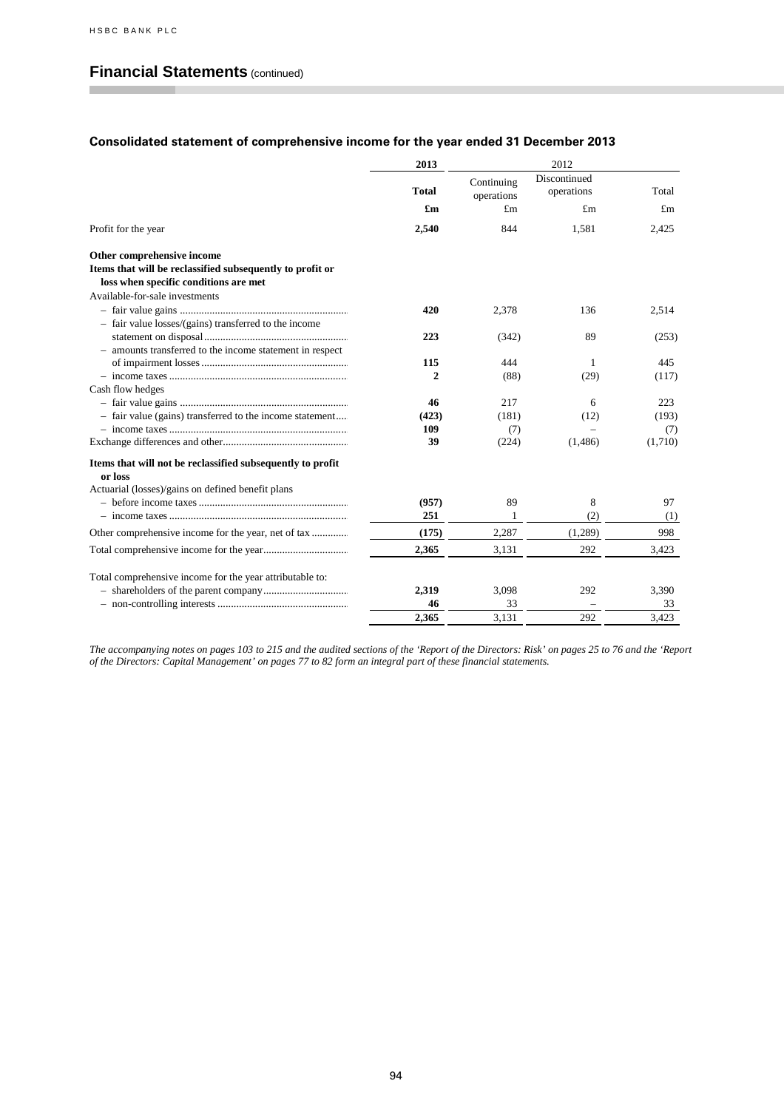## **Financial Statements** (continued)

## **Consolidated statement of comprehensive income for the year ended 31 December 2013**

|                                                                       | 2013         | 2012                     |                            |             |  |  |  |
|-----------------------------------------------------------------------|--------------|--------------------------|----------------------------|-------------|--|--|--|
|                                                                       | <b>Total</b> | Continuing<br>operations | Discontinued<br>operations | Total       |  |  |  |
|                                                                       | £m           | $\pounds$ m              | $\pounds$ m                | $\pounds$ m |  |  |  |
| Profit for the year                                                   | 2,540        | 844                      | 1,581                      | 2,425       |  |  |  |
| Other comprehensive income                                            |              |                          |                            |             |  |  |  |
| Items that will be reclassified subsequently to profit or             |              |                          |                            |             |  |  |  |
| loss when specific conditions are met                                 |              |                          |                            |             |  |  |  |
| Available-for-sale investments                                        |              |                          |                            |             |  |  |  |
|                                                                       | 420          | 2,378                    | 136                        | 2,514       |  |  |  |
| - fair value losses/(gains) transferred to the income                 |              |                          |                            |             |  |  |  |
|                                                                       | 223          | (342)                    | 89                         | (253)       |  |  |  |
| - amounts transferred to the income statement in respect              |              |                          |                            |             |  |  |  |
|                                                                       | 115          | 444                      | 1                          | 445         |  |  |  |
|                                                                       | $\mathbf{2}$ | (88)                     | (29)                       | (117)       |  |  |  |
| Cash flow hedges                                                      |              |                          |                            |             |  |  |  |
|                                                                       | 46           | 217                      | 6                          | 223         |  |  |  |
| - fair value (gains) transferred to the income statement              | (423)        | (181)                    | (12)                       | (193)       |  |  |  |
|                                                                       | 109          | (7)                      |                            | (7)         |  |  |  |
|                                                                       | 39           | (224)                    | (1,486)                    | (1,710)     |  |  |  |
| Items that will not be reclassified subsequently to profit<br>or loss |              |                          |                            |             |  |  |  |
| Actuarial (losses)/gains on defined benefit plans                     |              |                          |                            |             |  |  |  |
|                                                                       | (957)        | 89                       | 8                          | 97          |  |  |  |
|                                                                       | 251          | 1                        | (2)                        | (1)         |  |  |  |
|                                                                       | (175)        | 2,287                    | (1,289)                    | 998         |  |  |  |
|                                                                       | 2,365        | 3,131                    | 292                        | 3,423       |  |  |  |
| Total comprehensive income for the year attributable to:              |              |                          |                            |             |  |  |  |
|                                                                       | 2,319        | 3,098                    | 292                        | 3,390       |  |  |  |
|                                                                       | 46           | 33                       |                            | 33          |  |  |  |
|                                                                       | 2.365        | 3.131                    | 292                        | 3.423       |  |  |  |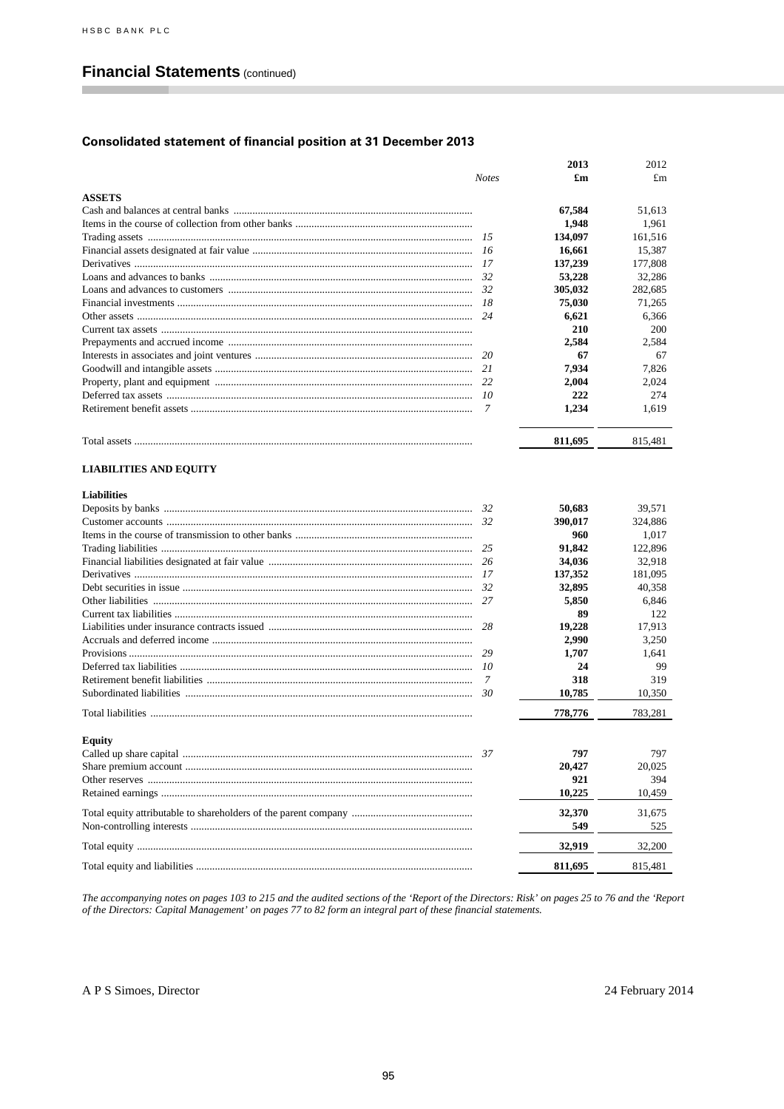# **Financial Statements (continued)**

## **Consolidated statement of financial position at 31 December 2013**

|                               |              | 2013         | 2012         |
|-------------------------------|--------------|--------------|--------------|
|                               | <b>Notes</b> | £m           | $\pounds$ m  |
| <b>ASSETS</b>                 |              |              |              |
|                               |              | 67,584       | 51,613       |
|                               |              | 1,948        | 1,961        |
|                               | 15           | 134,097      | 161.516      |
|                               | 16           | 16,661       | 15,387       |
|                               | 17           | 137,239      | 177,808      |
|                               | 32           | 53,228       | 32,286       |
|                               | 32           | 305,032      | 282,685      |
|                               | 18           | 75,030       | 71,265       |
|                               | 24           |              |              |
|                               |              | 6,621<br>210 | 6,366<br>200 |
|                               |              |              |              |
|                               |              | 2,584        | 2.584        |
|                               | 20           | 67           | 67           |
|                               | 21           | 7,934        | 7,826        |
|                               | 22           | 2,004        | 2,024        |
|                               | 10           | 222          | 274          |
|                               | 7            | 1,234        | 1,619        |
|                               |              | 811,695      | 815,481      |
| <b>LIABILITIES AND EQUITY</b> |              |              |              |
| <b>Liabilities</b>            |              |              |              |
|                               | 32           | 50.683       | 39,571       |
|                               | 32           | 390,017      | 324,886      |
|                               |              | 960          | 1,017        |
|                               | 25           | 91,842       | 122,896      |
|                               | 26           | 34,036       | 32,918       |
|                               | 17           | 137,352      | 181,095      |
|                               | 32           | 32,895       | 40,358       |
|                               | 27           | 5,850        | 6,846        |
|                               |              | 89           | 122          |
|                               | 28           | 19,228       | 17,913       |
|                               |              | 2,990        | 3,250        |
|                               | 29           | 1,707        | 1.641        |
|                               | 10           | 24           | 99           |
|                               | 7            | 318          | 319          |
|                               | 30           | 10,785       | 10,350       |
|                               |              | 778,776      | 783,281      |
| Equity                        |              |              |              |
|                               | 37           | 797          | 797          |
|                               |              | 20,427       | 20,025       |
|                               |              | 921          | 394          |
|                               |              | 10,225       | 10,459       |
|                               |              |              |              |
|                               |              | 32,370       | 31,675       |
|                               |              | 549          | 525          |
|                               |              | 32,919       | 32,200       |
|                               |              | 811,695      | 815,481      |
|                               |              |              |              |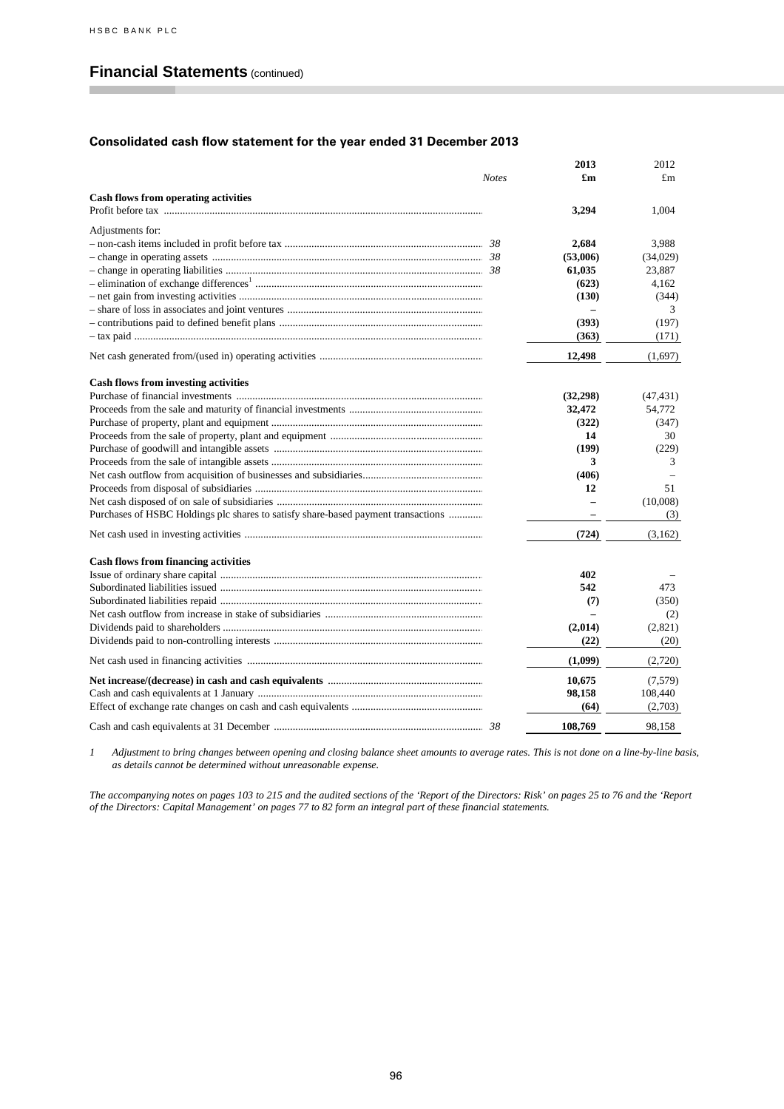## **Financial Statements** (continued)

#### **Consolidated cash flow statement for the year ended 31 December 2013**

|                                                                                   | <b>Notes</b> | 2013<br>£m | 2012<br>$\pounds$ m |
|-----------------------------------------------------------------------------------|--------------|------------|---------------------|
| <b>Cash flows from operating activities</b>                                       |              |            |                     |
|                                                                                   |              | 3,294      | 1.004               |
| Adjustments for:                                                                  |              |            |                     |
|                                                                                   |              | 2,684      | 3.988               |
|                                                                                   |              | (53,006)   | (34,029)            |
|                                                                                   |              | 61,035     | 23,887              |
|                                                                                   |              | (623)      | 4,162               |
|                                                                                   |              | (130)      | (344)               |
|                                                                                   |              |            | 3                   |
|                                                                                   |              | (393)      | (197)               |
|                                                                                   |              | (363)      | (171)               |
|                                                                                   |              | 12,498     | (1,697)             |
| <b>Cash flows from investing activities</b>                                       |              |            |                     |
|                                                                                   |              | (32, 298)  | (47, 431)           |
|                                                                                   |              | 32,472     | 54.772              |
|                                                                                   |              | (322)      | (347)               |
|                                                                                   |              | 14         | 30                  |
|                                                                                   |              | (199)      | (229)               |
|                                                                                   |              | 3          | 3                   |
|                                                                                   |              | (406)      |                     |
|                                                                                   |              | 12         | 51                  |
|                                                                                   |              |            | (10,008)            |
| Purchases of HSBC Holdings plc shares to satisfy share-based payment transactions |              |            | (3)                 |
|                                                                                   |              | (724)      | (3,162)             |
| <b>Cash flows from financing activities</b>                                       |              |            |                     |
|                                                                                   |              | 402        |                     |
|                                                                                   |              | 542        | 473                 |
|                                                                                   |              | (7)        | (350)               |
|                                                                                   |              |            | (2)                 |
|                                                                                   |              | (2,014)    | (2,821)             |
|                                                                                   |              | (22)       | (20)                |
|                                                                                   |              | (1,099)    | (2,720)             |
|                                                                                   |              | 10,675     | (7,579)             |
|                                                                                   |              | 98,158     | 108,440             |
|                                                                                   |              | (64)       | (2,703)             |
|                                                                                   |              | 108,769    | 98.158              |

*1 Adjustment to bring changes between opening and closing balance sheet amounts to average rates. This is not done on a line-by-line basis, as details cannot be determined without unreasonable expense.*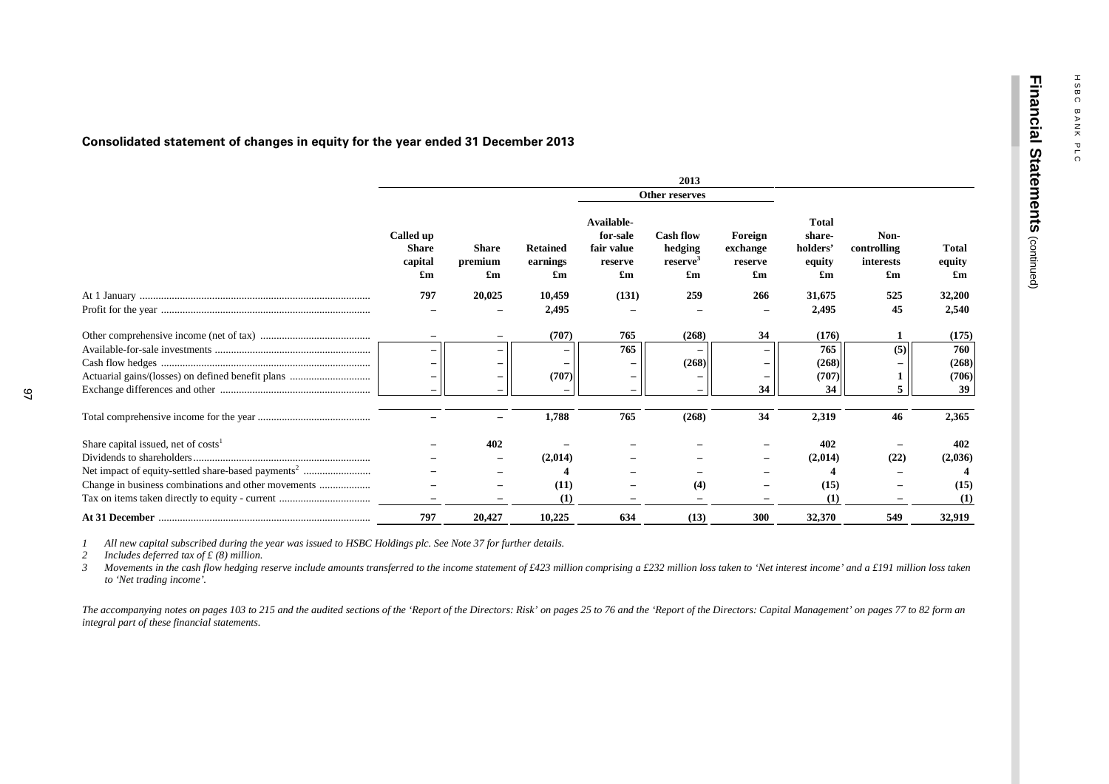**Fin a n cial**

**State**

**m e nts**

(continued)

#### **Consolidated statement of changes in equity for the year ended 31 December 2013**

|                                       |                                                                   |                                                      |                                   |                                                                              | 2013                                                                |                                                             |                                                    |                                                               |                                                     |
|---------------------------------------|-------------------------------------------------------------------|------------------------------------------------------|-----------------------------------|------------------------------------------------------------------------------|---------------------------------------------------------------------|-------------------------------------------------------------|----------------------------------------------------|---------------------------------------------------------------|-----------------------------------------------------|
|                                       |                                                                   |                                                      |                                   |                                                                              | Other reserves                                                      |                                                             |                                                    |                                                               |                                                     |
|                                       | Called up<br><b>Share</b><br>capital<br>$\mathbf{f}_{\mathbf{m}}$ | <b>Share</b><br>premium<br>$\mathbf{f}_{\mathbf{m}}$ | <b>Retained</b><br>earnings<br>£m | Available-<br>for-sale<br>fair value<br>reserve<br>$\mathbf{f}_{\mathbf{m}}$ | <b>Cash flow</b><br>hedging<br>reserve<br>$\mathbf{f}_{\mathbf{m}}$ | Foreign<br>exchange<br>reserve<br>$\mathbf{f}_{\mathbf{m}}$ | <b>Total</b><br>share-<br>holders'<br>equity<br>£m | Non-<br>controlling<br>interests<br>$\mathbf{f}_{\mathbf{m}}$ | <b>Total</b><br>equity<br>$\mathbf{f}_{\mathbf{m}}$ |
|                                       | 797                                                               | 20,025                                               | 10,459                            | (131)                                                                        | 259                                                                 | 266                                                         | 31,675                                             | 525                                                           | 32,200                                              |
|                                       |                                                                   |                                                      | 2,495                             |                                                                              |                                                                     | $\qquad \qquad -$                                           | 2,495                                              | 45                                                            | 2,540                                               |
|                                       |                                                                   |                                                      | (707)                             | 765                                                                          | (268)                                                               | 34                                                          | (176)                                              |                                                               | (175)                                               |
|                                       |                                                                   |                                                      |                                   | 765                                                                          |                                                                     |                                                             | 765                                                | (5)                                                           | 760                                                 |
|                                       |                                                                   |                                                      |                                   |                                                                              | (268)                                                               |                                                             | (268)                                              |                                                               | (268)                                               |
|                                       |                                                                   |                                                      | (707)                             | -                                                                            |                                                                     |                                                             | (707)                                              |                                                               | (706)                                               |
|                                       |                                                                   |                                                      |                                   | $\overline{\phantom{m}}$                                                     |                                                                     | 34                                                          | 34                                                 |                                                               | 39                                                  |
|                                       |                                                                   |                                                      | 1,788                             | 765                                                                          | (268)                                                               | 34                                                          | 2,319                                              | 46                                                            | 2,365                                               |
| Share capital issued, net of $costs1$ |                                                                   | 402                                                  |                                   |                                                                              |                                                                     |                                                             | 402                                                |                                                               | 402                                                 |
|                                       |                                                                   |                                                      | (2,014)                           |                                                                              |                                                                     |                                                             | (2,014)                                            | (22)                                                          | (2,036)                                             |
|                                       |                                                                   |                                                      |                                   |                                                                              |                                                                     |                                                             |                                                    |                                                               |                                                     |
|                                       |                                                                   |                                                      | (11)                              |                                                                              | (4)                                                                 |                                                             | (15)                                               |                                                               | (15)                                                |
|                                       |                                                                   |                                                      | (1)                               |                                                                              |                                                                     |                                                             | (1)                                                |                                                               | (1)                                                 |
|                                       | 797                                                               | 20,427                                               | 10,225                            | 634                                                                          | (13)                                                                | 300                                                         | 32,370                                             | 549                                                           | 32,919                                              |

*1 All new capital subscribed during the year was issued to HSBC Holdings plc. See Note 37 for further details.*

*2 Includes deferred tax of £ (8) million.*

*Movements in the cash flow hedging reserve include amounts transferred to the income statement of £423 million comprising a £232 million loss taken to 'Net interest income' and a £191 million loss taken to 'Net trading income'.*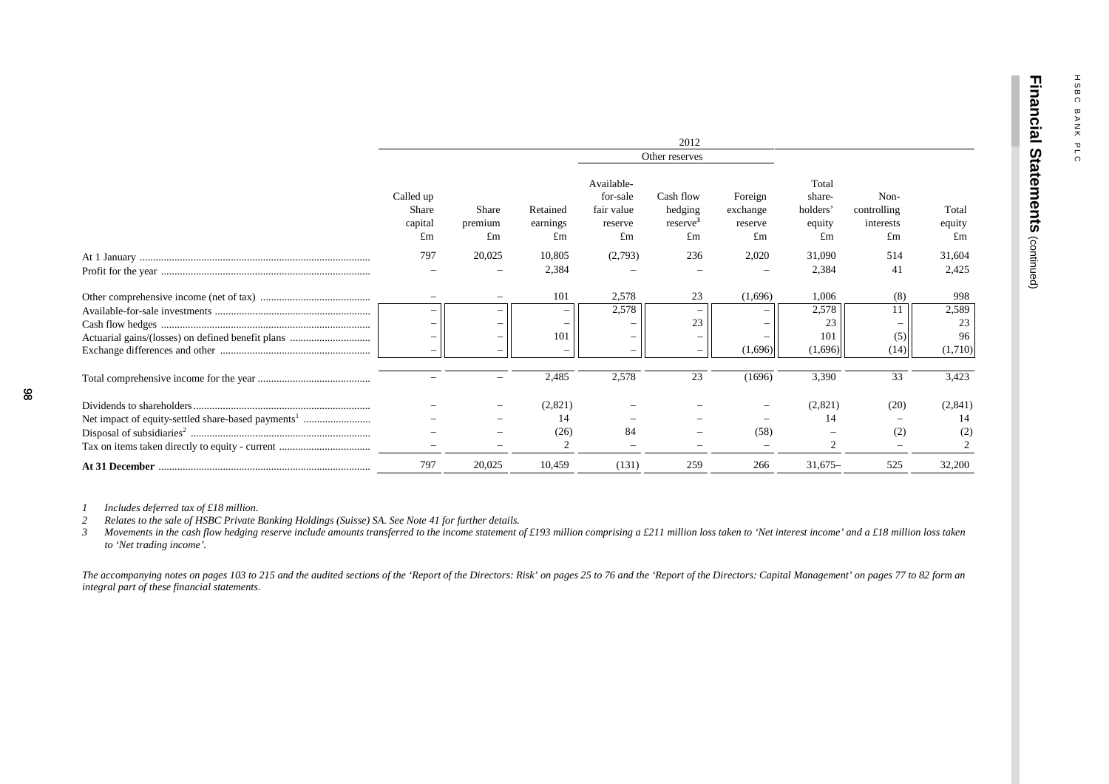|                                                   |                                     |                        |                            |                                                                | 2012                                  |                                      |                                             |                                        |                                |
|---------------------------------------------------|-------------------------------------|------------------------|----------------------------|----------------------------------------------------------------|---------------------------------------|--------------------------------------|---------------------------------------------|----------------------------------------|--------------------------------|
|                                                   |                                     |                        |                            |                                                                | Other reserves                        |                                      |                                             |                                        |                                |
|                                                   | Called up<br>Share<br>capital<br>£m | Share<br>premium<br>£m | Retained<br>earnings<br>£m | Available-<br>for-sale<br>fair value<br>reserve<br>$\pounds$ m | Cash flow<br>hedging<br>reserve<br>£m | Foreign<br>exchange<br>reserve<br>£m | Total<br>share-<br>holders'<br>equity<br>£m | Non-<br>controlling<br>interests<br>£m | Total<br>equity<br>$\pounds$ m |
|                                                   | 797                                 | 20,025                 | 10,805                     | (2,793)                                                        | 236                                   | 2,020                                | 31,090                                      | 514                                    | 31,604                         |
|                                                   |                                     |                        | 2,384                      |                                                                |                                       |                                      | 2,384                                       | 41                                     | 2,425                          |
|                                                   |                                     |                        | 101                        | 2,578                                                          | 23                                    | (1,696)                              | 1,006                                       | (8)                                    | 998                            |
|                                                   |                                     |                        |                            | 2,578                                                          |                                       |                                      | 2,578                                       |                                        | 2,589                          |
|                                                   |                                     |                        |                            |                                                                | 23                                    |                                      | 23                                          |                                        | 23                             |
| Actuarial gains/(losses) on defined benefit plans |                                     |                        | 101                        |                                                                |                                       |                                      | 101                                         | (5)                                    | 96                             |
|                                                   |                                     |                        |                            |                                                                |                                       | (1,696)                              | (1,696)                                     | (14)                                   | (1,710)                        |
|                                                   |                                     |                        | 2,485                      | 2,578                                                          | 23                                    | (1696)                               | 3,390                                       | 33                                     | 3,423                          |
|                                                   |                                     |                        | (2,821)                    |                                                                |                                       |                                      | (2,821)                                     | (20)                                   | (2, 841)                       |
|                                                   |                                     |                        | 14                         |                                                                |                                       |                                      | 14                                          |                                        |                                |
|                                                   |                                     |                        | (26)                       | 84                                                             |                                       | (58)                                 |                                             | (2)                                    | (2)                            |
| Tax on items taken directly to equity - current   |                                     |                        |                            |                                                                |                                       |                                      |                                             |                                        |                                |
|                                                   | 797                                 | 20,025                 | 10,459                     | (131)                                                          | 259                                   | 266                                  | $31,675-$                                   | 525                                    | 32,200                         |

*1 Includes deferred tax of £18 million.*

*2 Relates to the sale of HSBC Private Banking Holdings (Suisse) SA. See Note 41 for further details.*

*3 Movements in the cash flow hedging reserve include amounts transferred to the income statement of £193 million comprising a £211 million loss taken to 'Net interest income' and a £18 million loss taken to 'Net trading income'.*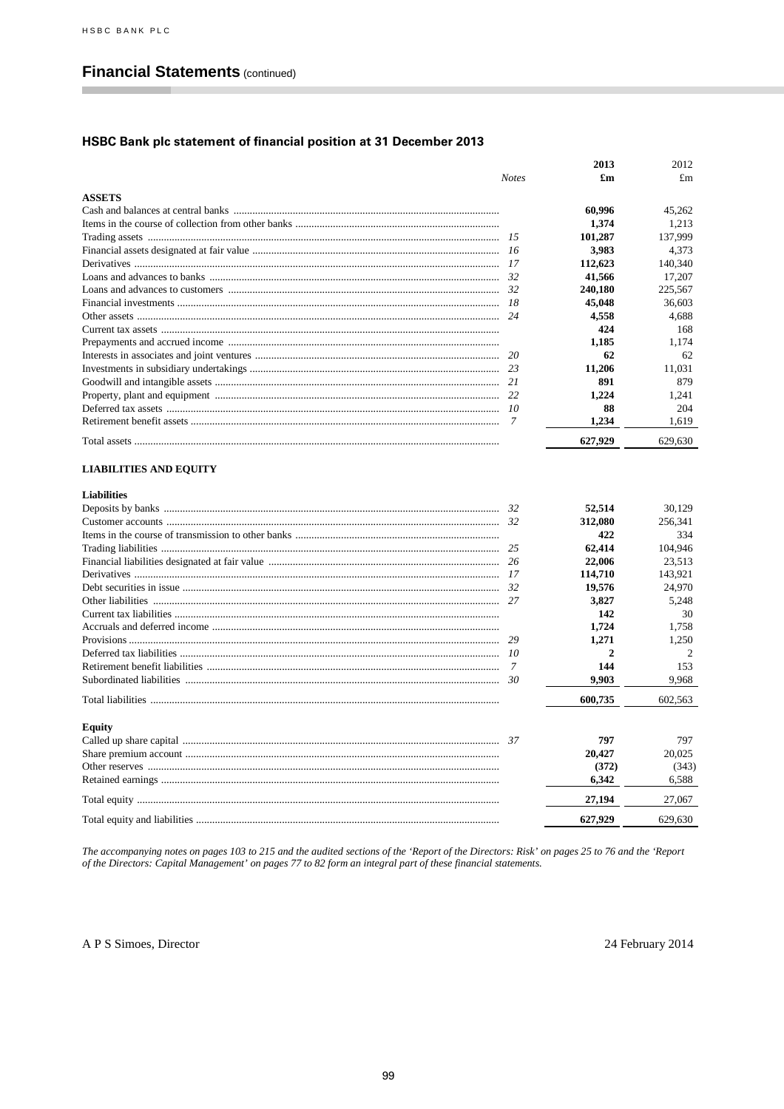п

# **Financial Statements (continued)**

## HSBC Bank plc statement of financial position at 31 December 2013

|                               |              | 2013         | 2012           |
|-------------------------------|--------------|--------------|----------------|
|                               | <b>Notes</b> | £m           | $\pounds$ m    |
| <b>ASSETS</b>                 |              |              |                |
|                               |              | 60,996       | 45,262         |
|                               |              | 1,374        | 1,213          |
|                               |              | 101,287      | 137,999        |
|                               | 16           | 3,983        | 4,373          |
|                               | 17           | 112,623      | 140,340        |
|                               | 32           | 41,566       | 17,207         |
|                               | 32           | 240,180      | 225,567        |
|                               | 18           | 45,048       | 36,603         |
|                               | 24           | 4,558        | 4,688          |
|                               |              | 424          | 168            |
|                               |              | 1,185        | 1,174          |
|                               | 20           | 62           | 62             |
|                               | 23           | 11,206       | 11,031         |
|                               | 21           | 891          | 879            |
|                               | 22           | 1.224        | 1.241          |
|                               |              | 88           | 204            |
|                               | 7            | 1,234        | 1,619          |
|                               |              | 627,929      | 629,630        |
|                               |              |              |                |
| <b>LIABILITIES AND EQUITY</b> |              |              |                |
|                               |              |              |                |
| <b>Liabilities</b>            |              |              |                |
|                               | 32           | 52,514       | 30,129         |
|                               | 32           | 312,080      | 256,341        |
|                               |              | 422          | 334            |
|                               | 25           | 62.414       | 104,946        |
|                               | 26           | 22,006       | 23,513         |
|                               |              | 114,710      | 143,921        |
|                               | - 32         | 19,576       | 24,970         |
|                               |              | 3,827        | 5,248          |
|                               |              | 142          | 30             |
|                               |              | 1,724        | 1,758          |
|                               | 29           | 1,271        | 1,250          |
|                               | 10           | $\mathbf{2}$ | $\overline{2}$ |
|                               | 7            | 144          | 153            |
|                               | 30           | 9,903        | 9,968          |
|                               |              | 600,735      | 602,563        |
|                               |              |              |                |
| Equity                        |              |              |                |
|                               |              | 797          | 797            |
|                               |              | 20,427       | 20.025         |
|                               |              | (372)        | (343)          |
|                               |              | 6,342        | 6,588          |
|                               |              | 27,194       | 27,067         |
|                               |              | 627,929      | 629,630        |

The accompanying notes on pages 103 to 215 and the audited sections of the 'Report of the Directors: Risk' on pages 25 to 76 and the 'Report of the Directors: Capital Management' on pages 77 to 82 form an integral part of

A P S Simoes, Director

24 February 2014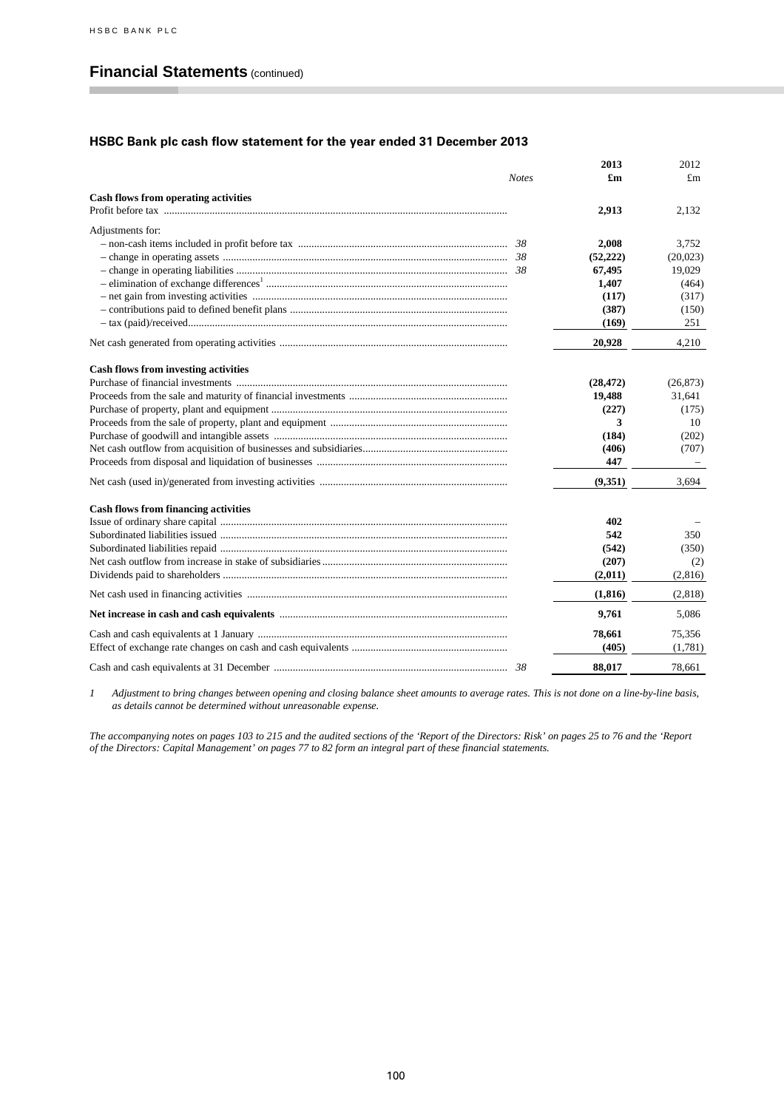п

## **Financial Statements** (continued)

## **HSBC Bank plc cash flow statement for the year ended 31 December 2013**

|                                             |              | 2013      | 2012      |
|---------------------------------------------|--------------|-----------|-----------|
|                                             | <b>Notes</b> | £m        | £m        |
| <b>Cash flows from operating activities</b> |              |           |           |
|                                             |              | 2,913     | 2,132     |
| Adjustments for:                            |              |           |           |
|                                             |              | 2,008     | 3.752     |
|                                             |              | (52, 222) | (20,023)  |
|                                             |              | 67,495    | 19,029    |
|                                             |              | 1,407     | (464)     |
|                                             |              | (117)     | (317)     |
|                                             |              | (387)     | (150)     |
|                                             |              | (169)     | 251       |
|                                             |              | 20,928    | 4.210     |
| <b>Cash flows from investing activities</b> |              |           |           |
|                                             |              | (28, 472) | (26, 873) |
|                                             |              | 19,488    | 31,641    |
|                                             |              | (227)     | (175)     |
|                                             |              | 3         | 10        |
|                                             |              | (184)     | (202)     |
|                                             |              | (406)     | (707)     |
|                                             |              | 447       |           |
|                                             |              | (9,351)   | 3.694     |
| <b>Cash flows from financing activities</b> |              |           |           |
|                                             |              | 402       |           |
|                                             |              | 542       | 350       |
|                                             |              | (542)     | (350)     |
|                                             |              | (207)     | (2)       |
|                                             |              | (2,011)   | (2,816)   |
|                                             |              | (1, 816)  | (2,818)   |
|                                             |              | 9,761     | 5.086     |
|                                             |              | 78,661    | 75,356    |
|                                             |              | (405)     | (1,781)   |
|                                             |              | 88.017    | 78.661    |

*1 Adjustment to bring changes between opening and closing balance sheet amounts to average rates. This is not done on a line-by-line basis, as details cannot be determined without unreasonable expense.*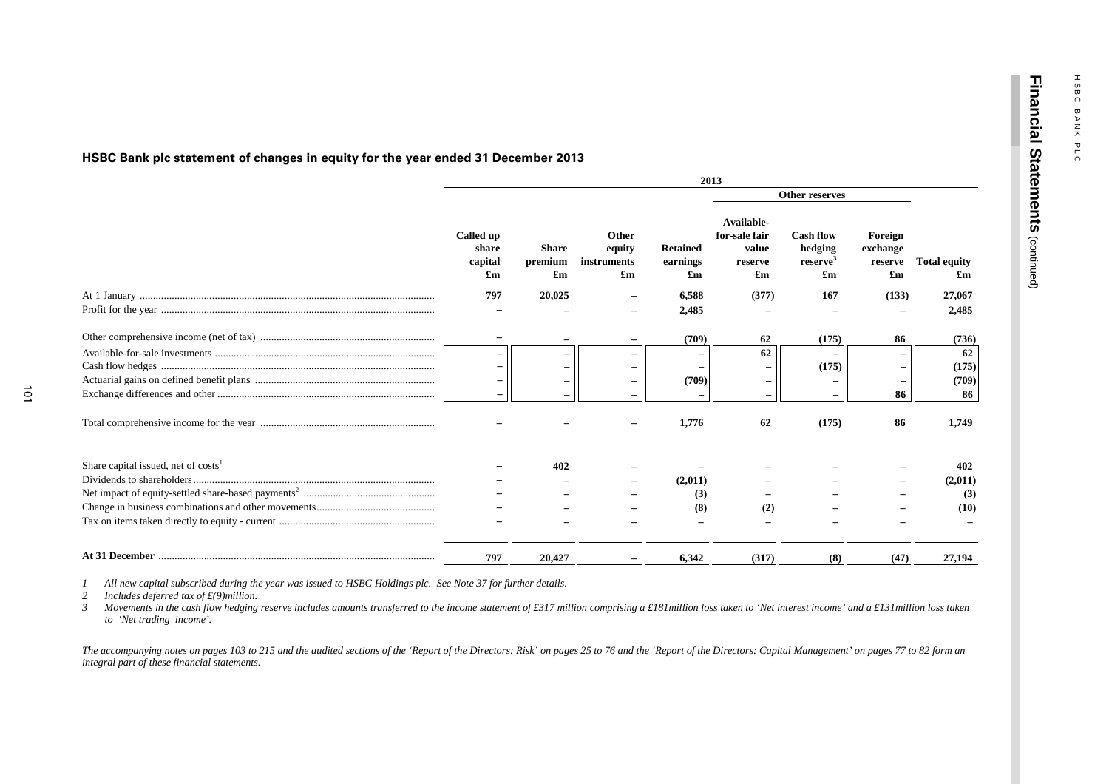**Fin a n cial**

**State**

**m e nts**

(continued)

# **HSBC Bank plc statement of changes in equity for the year ended 31 December 2013**

|                                                 | 2013                                                       |                                                      |                                                             |                                                          |                                                                              |                                                                                  |                                                             |                           |  |
|-------------------------------------------------|------------------------------------------------------------|------------------------------------------------------|-------------------------------------------------------------|----------------------------------------------------------|------------------------------------------------------------------------------|----------------------------------------------------------------------------------|-------------------------------------------------------------|---------------------------|--|
|                                                 |                                                            |                                                      |                                                             |                                                          | Other reserves                                                               |                                                                                  |                                                             |                           |  |
|                                                 | Called up<br>share<br>capital<br>$\mathbf{f}_{\mathbf{m}}$ | <b>Share</b><br>premium<br>$\mathbf{f}_{\mathbf{m}}$ | Other<br>equity<br>instruments<br>$\mathbf{f}_{\mathbf{m}}$ | <b>Retained</b><br>earnings<br>$\mathbf{f}_{\mathbf{m}}$ | Available-<br>for-sale fair<br>value<br>reserve<br>$\mathbf{f}_{\mathbf{m}}$ | <b>Cash flow</b><br>hedging<br>reserve <sup>3</sup><br>$\mathbf{f}_{\mathbf{m}}$ | Foreign<br>exchange<br>reserve<br>$\mathbf{f}_{\mathbf{m}}$ | <b>Total equity</b><br>£m |  |
|                                                 | 797                                                        | 20,025                                               |                                                             | 6,588                                                    | (377)                                                                        | 167                                                                              | (133)                                                       | 27,067                    |  |
|                                                 |                                                            |                                                      |                                                             | 2,485                                                    |                                                                              |                                                                                  |                                                             | 2,485                     |  |
|                                                 | $\qquad \qquad -$                                          |                                                      |                                                             | (709)                                                    | 62                                                                           | (175)                                                                            | 86                                                          | (736)                     |  |
|                                                 |                                                            |                                                      |                                                             |                                                          | 62                                                                           |                                                                                  |                                                             | 62                        |  |
|                                                 |                                                            |                                                      |                                                             |                                                          |                                                                              | (175)                                                                            |                                                             | (175)                     |  |
|                                                 |                                                            |                                                      |                                                             | (709)                                                    |                                                                              |                                                                                  |                                                             | (709)                     |  |
|                                                 |                                                            |                                                      |                                                             |                                                          |                                                                              |                                                                                  | 86                                                          | 86                        |  |
|                                                 |                                                            |                                                      |                                                             | 1,776                                                    | 62                                                                           | (175)                                                                            | 86                                                          | 1,749                     |  |
| Share capital issued, net of costs <sup>1</sup> |                                                            | 402                                                  |                                                             |                                                          |                                                                              |                                                                                  |                                                             | 402                       |  |
|                                                 |                                                            |                                                      |                                                             | (2,011)                                                  |                                                                              |                                                                                  |                                                             | (2,011)                   |  |
|                                                 |                                                            |                                                      |                                                             | (3)                                                      |                                                                              |                                                                                  |                                                             | (3)                       |  |
|                                                 |                                                            |                                                      |                                                             | (8)                                                      | (2)                                                                          |                                                                                  |                                                             | (10)                      |  |
|                                                 |                                                            |                                                      |                                                             |                                                          |                                                                              |                                                                                  |                                                             |                           |  |
|                                                 | 797                                                        | 20,427                                               |                                                             | 6.342                                                    | (317)                                                                        | (8)                                                                              | (47)                                                        | 27.194                    |  |

*1 All new capital subscribed during the year was issued to HSBC Holdings plc. See Note 37 for further details.*

*2 Includes deferred tax of £(9)million.*

*3 Movements in the cash flow hedging reserve includes amounts transferred to the income statement of £317 million comprising a £181million loss taken to 'Net interest income' and a £131million loss taken to 'Net trading income'.*